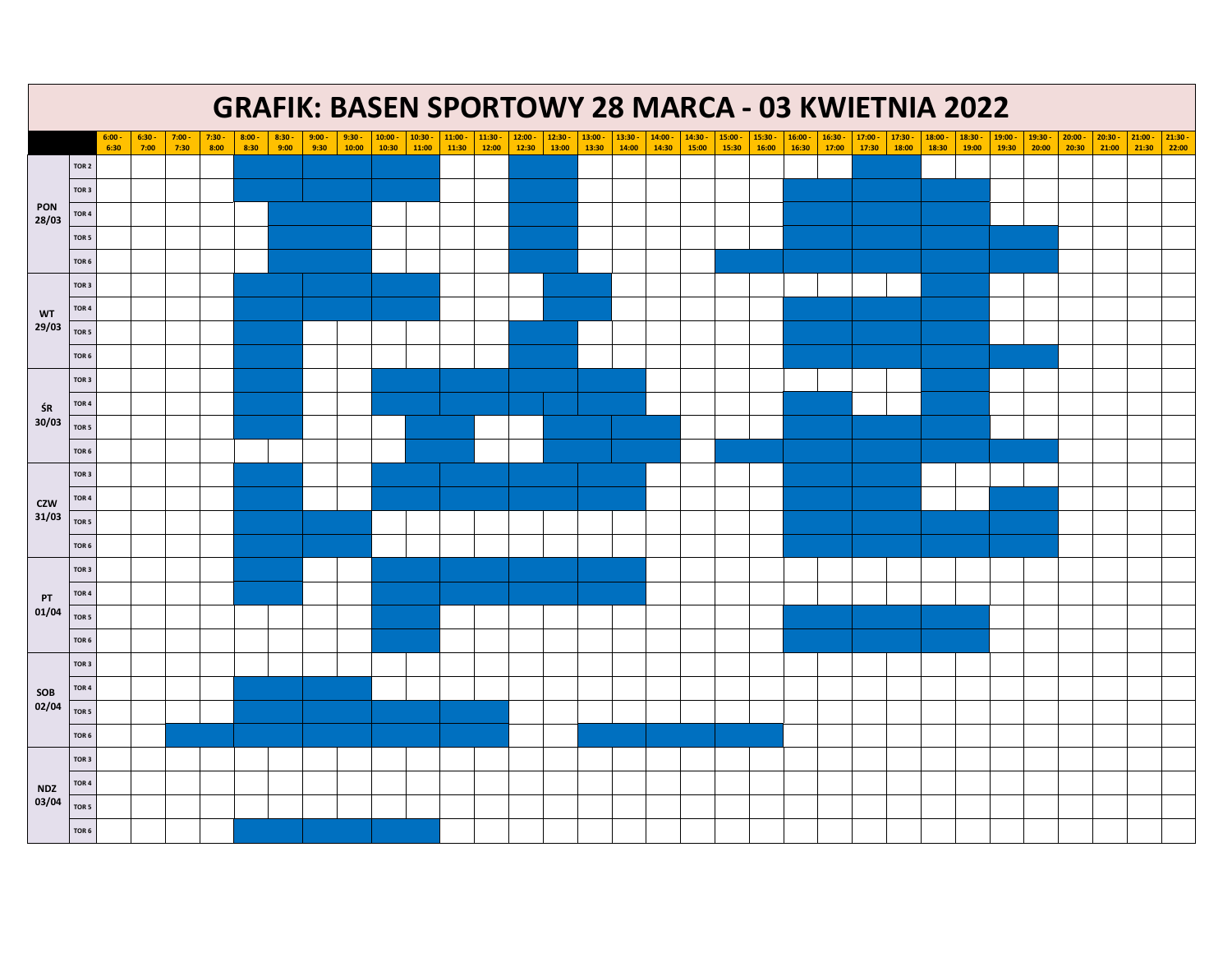